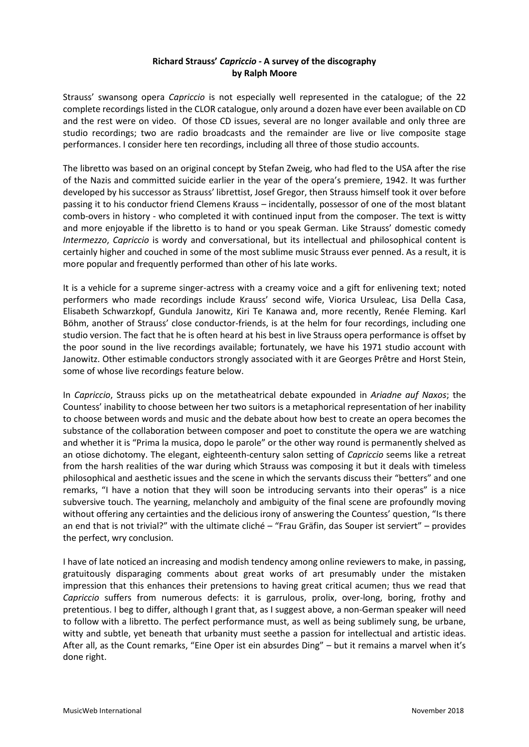## **Richard Strauss'** *Capriccio -* **A survey of the discography by Ralph Moore**

Strauss' swansong opera *Capriccio* is not especially well represented in the catalogue; of the 22 complete recordings listed in the CLOR catalogue, only around a dozen have ever been available on CD and the rest were on video. Of those CD issues, several are no longer available and only three are studio recordings; two are radio broadcasts and the remainder are live or live composite stage performances. I consider here ten recordings, including all three of those studio accounts.

The libretto was based on an original concept by Stefan Zweig, who had fled to the USA after the rise of the Nazis and committed suicide earlier in the year of the opera's premiere, 1942. It was further developed by his successor as Strauss' librettist, Josef Gregor, then Strauss himself took it over before passing it to his conductor friend Clemens Krauss – incidentally, possessor of one of the most blatant comb-overs in history - who completed it with continued input from the composer. The text is witty and more enjoyable if the libretto is to hand or you speak German. Like Strauss' domestic comedy *Intermezzo*, *Capriccio* is wordy and conversational, but its intellectual and philosophical content is certainly higher and couched in some of the most sublime music Strauss ever penned. As a result, it is more popular and frequently performed than other of his late works.

It is a vehicle for a supreme singer-actress with a creamy voice and a gift for enlivening text; noted performers who made recordings include Krauss' second wife, Viorica Ursuleac, Lisa Della Casa, Elisabeth Schwarzkopf, Gundula Janowitz, Kiri Te Kanawa and, more recently, Renée Fleming. Karl Böhm, another of Strauss' close conductor-friends, is at the helm for four recordings, including one studio version. The fact that he is often heard at his best in live Strauss opera performance is offset by the poor sound in the live recordings available; fortunately, we have his 1971 studio account with Janowitz. Other estimable conductors strongly associated with it are Georges Prêtre and Horst Stein, some of whose live recordings feature below.

In *Capriccio*, Strauss picks up on the metatheatrical debate expounded in *Ariadne auf Naxos*; the Countess' inability to choose between her two suitors is a metaphorical representation of her inability to choose between words and music and the debate about how best to create an opera becomes the substance of the collaboration between composer and poet to constitute the opera we are watching and whether it is "Prima la musica, dopo le parole" or the other way round is permanently shelved as an otiose dichotomy. The elegant, eighteenth-century salon setting of *Capriccio* seems like a retreat from the harsh realities of the war during which Strauss was composing it but it deals with timeless philosophical and aesthetic issues and the scene in which the servants discuss their "betters" and one remarks, "I have a notion that they will soon be introducing servants into their operas" is a nice subversive touch. The yearning, melancholy and ambiguity of the final scene are profoundly moving without offering any certainties and the delicious irony of answering the Countess' question, "Is there an end that is not trivial?" with the ultimate cliché – "Frau Gräfin, das Souper ist serviert" – provides the perfect, wry conclusion.

I have of late noticed an increasing and modish tendency among online reviewers to make, in passing, gratuitously disparaging comments about great works of art presumably under the mistaken impression that this enhances their pretensions to having great critical acumen; thus we read that *Capriccio* suffers from numerous defects: it is garrulous, prolix, over-long, boring, frothy and pretentious. I beg to differ, although I grant that, as I suggest above, a non-German speaker will need to follow with a libretto. The perfect performance must, as well as being sublimely sung, be urbane, witty and subtle, yet beneath that urbanity must seethe a passion for intellectual and artistic ideas. After all, as the Count remarks, "Eine Oper ist ein absurdes Ding" – but it remains a marvel when it's done right.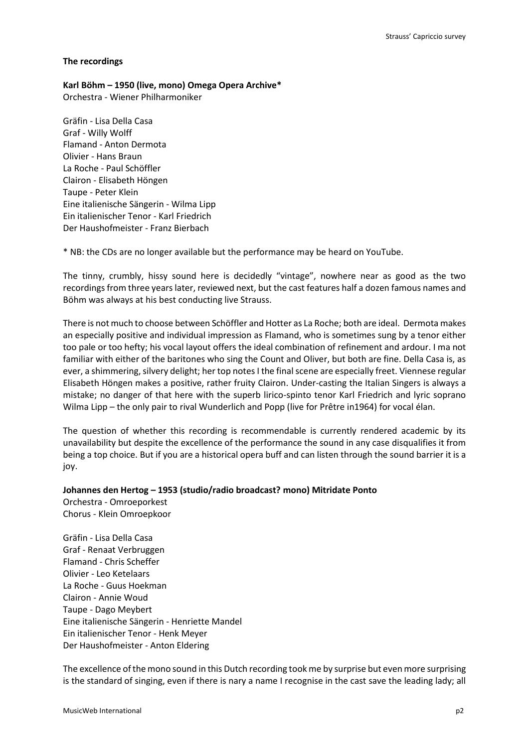#### **The recordings**

**Karl Böhm – 1950 (live, mono) Omega Opera Archive\*** 

Orchestra - Wiener Philharmoniker

Gräfin - Lisa Della Casa Graf - Willy Wolff Flamand - Anton Dermota Olivier - Hans Braun La Roche - Paul Schöffler Clairon - Elisabeth Höngen Taupe - Peter Klein Eine italienische Sängerin - Wilma Lipp Ein italienischer Tenor - Karl Friedrich Der Haushofmeister - Franz Bierbach

\* NB: the CDs are no longer available but the performance may be heard on YouTube.

The tinny, crumbly, hissy sound here is decidedly "vintage", nowhere near as good as the two recordings from three years later, reviewed next, but the cast features half a dozen famous names and Böhm was always at his best conducting live Strauss.

There is not much to choose between Schöffler and Hotter as La Roche; both are ideal. Dermota makes an especially positive and individual impression as Flamand, who is sometimes sung by a tenor either too pale or too hefty; his vocal layout offers the ideal combination of refinement and ardour. I ma not familiar with either of the baritones who sing the Count and Oliver, but both are fine. Della Casa is, as ever, a shimmering, silvery delight; her top notes I the final scene are especially freet. Viennese regular Elisabeth Höngen makes a positive, rather fruity Clairon. Under-casting the Italian Singers is always a mistake; no danger of that here with the superb lirico-spinto tenor Karl Friedrich and lyric soprano Wilma Lipp – the only pair to rival Wunderlich and Popp (live for Prêtre in1964) for vocal élan.

The question of whether this recording is recommendable is currently rendered academic by its unavailability but despite the excellence of the performance the sound in any case disqualifies it from being a top choice. But if you are a historical opera buff and can listen through the sound barrier it is a joy.

## **Johannes den Hertog – 1953 (studio/radio broadcast? mono) Mitridate Ponto** Orchestra - Omroeporkest Chorus - Klein Omroepkoor

Gräfin - Lisa Della Casa Graf - Renaat Verbruggen Flamand - Chris Scheffer Olivier - Leo Ketelaars La Roche - Guus Hoekman Clairon - Annie Woud Taupe - Dago Meybert Eine italienische Sängerin - Henriette Mandel Ein italienischer Tenor - Henk Meyer Der Haushofmeister - Anton Eldering

The excellence of the mono sound in this Dutch recording took me by surprise but even more surprising is the standard of singing, even if there is nary a name I recognise in the cast save the leading lady; all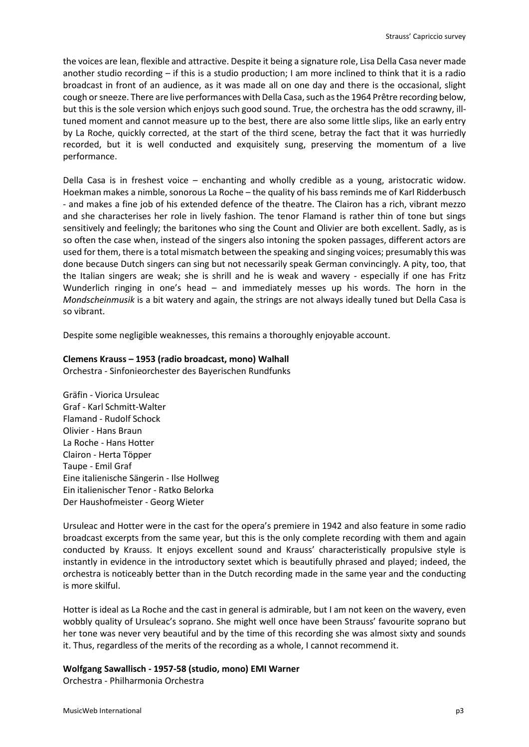the voices are lean, flexible and attractive. Despite it being a signature role, Lisa Della Casa never made another studio recording – if this is a studio production; I am more inclined to think that it is a radio broadcast in front of an audience, as it was made all on one day and there is the occasional, slight cough or sneeze. There are live performances with Della Casa, such as the 1964 Prêtre recording below, but this is the sole version which enjoys such good sound. True, the orchestra has the odd scrawny, illtuned moment and cannot measure up to the best, there are also some little slips, like an early entry by La Roche, quickly corrected, at the start of the third scene, betray the fact that it was hurriedly recorded, but it is well conducted and exquisitely sung, preserving the momentum of a live performance.

Della Casa is in freshest voice – enchanting and wholly credible as a young, aristocratic widow. Hoekman makes a nimble, sonorous La Roche – the quality of his bass reminds me of Karl Ridderbusch - and makes a fine job of his extended defence of the theatre. The Clairon has a rich, vibrant mezzo and she characterises her role in lively fashion. The tenor Flamand is rather thin of tone but sings sensitively and feelingly; the baritones who sing the Count and Olivier are both excellent. Sadly, as is so often the case when, instead of the singers also intoning the spoken passages, different actors are used for them, there is a total mismatch between the speaking and singing voices; presumably this was done because Dutch singers can sing but not necessarily speak German convincingly. A pity, too, that the Italian singers are weak; she is shrill and he is weak and wavery - especially if one has Fritz Wunderlich ringing in one's head – and immediately messes up his words. The horn in the *Mondscheinmusik* is a bit watery and again, the strings are not always ideally tuned but Della Casa is so vibrant.

Despite some negligible weaknesses, this remains a thoroughly enjoyable account.

#### **Clemens Krauss – 1953 (radio broadcast, mono) Walhall**

Orchestra - Sinfonieorchester des Bayerischen Rundfunks

Gräfin - Viorica Ursuleac Graf - Karl Schmitt-Walter Flamand - Rudolf Schock Olivier - Hans Braun La Roche - Hans Hotter Clairon - Herta Töpper Taupe - Emil Graf Eine italienische Sängerin - Ilse Hollweg Ein italienischer Tenor - Ratko Belorka Der Haushofmeister - Georg Wieter

Ursuleac and Hotter were in the cast for the opera's premiere in 1942 and also feature in some radio broadcast excerpts from the same year, but this is the only complete recording with them and again conducted by Krauss. It enjoys excellent sound and Krauss' characteristically propulsive style is instantly in evidence in the introductory sextet which is beautifully phrased and played; indeed, the orchestra is noticeably better than in the Dutch recording made in the same year and the conducting is more skilful.

Hotter is ideal as La Roche and the cast in general is admirable, but I am not keen on the wavery, even wobbly quality of Ursuleac's soprano. She might well once have been Strauss' favourite soprano but her tone was never very beautiful and by the time of this recording she was almost sixty and sounds it. Thus, regardless of the merits of the recording as a whole, I cannot recommend it.

#### **Wolfgang Sawallisch - 1957-58 (studio, mono) EMI Warner**

Orchestra - Philharmonia Orchestra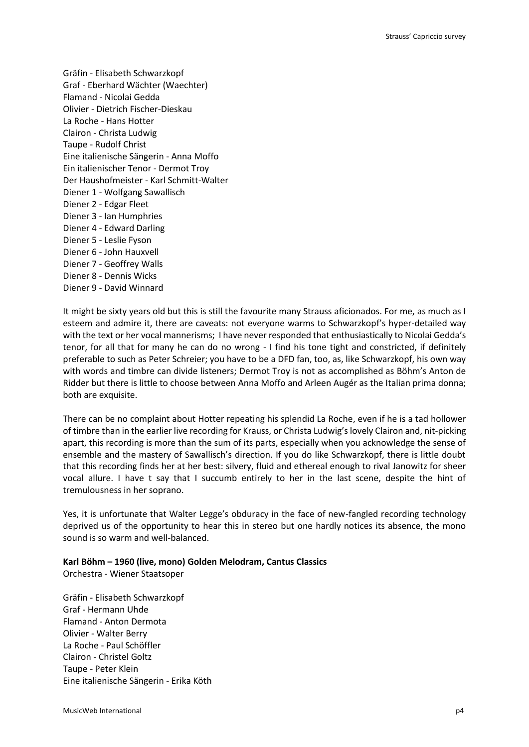Gräfin - Elisabeth Schwarzkopf Graf - Eberhard Wächter (Waechter) Flamand - Nicolai Gedda Olivier - Dietrich Fischer-Dieskau La Roche - Hans Hotter Clairon - Christa Ludwig Taupe - Rudolf Christ Eine italienische Sängerin - Anna Moffo Ein italienischer Tenor - Dermot Troy Der Haushofmeister - Karl Schmitt-Walter Diener 1 - Wolfgang Sawallisch Diener 2 - Edgar Fleet Diener 3 - Ian Humphries Diener 4 - Edward Darling Diener 5 - Leslie Fyson Diener 6 - John Hauxvell Diener 7 - Geoffrey Walls Diener 8 - Dennis Wicks Diener 9 - David Winnard

It might be sixty years old but this is still the favourite many Strauss aficionados. For me, as much as I esteem and admire it, there are caveats: not everyone warms to Schwarzkopf's hyper-detailed way with the text or her vocal mannerisms; I have never responded that enthusiastically to Nicolai Gedda's tenor, for all that for many he can do no wrong - I find his tone tight and constricted, if definitely preferable to such as Peter Schreier; you have to be a DFD fan, too, as, like Schwarzkopf, his own way with words and timbre can divide listeners; Dermot Troy is not as accomplished as Böhm's Anton de Ridder but there is little to choose between Anna Moffo and Arleen Augér as the Italian prima donna; both are exquisite.

There can be no complaint about Hotter repeating his splendid La Roche, even if he is a tad hollower of timbre than in the earlier live recording for Krauss, or Christa Ludwig's lovely Clairon and, nit-picking apart, this recording is more than the sum of its parts, especially when you acknowledge the sense of ensemble and the mastery of Sawallisch's direction. If you do like Schwarzkopf, there is little doubt that this recording finds her at her best: silvery, fluid and ethereal enough to rival Janowitz for sheer vocal allure. I have t say that I succumb entirely to her in the last scene, despite the hint of tremulousness in her soprano.

Yes, it is unfortunate that Walter Legge's obduracy in the face of new-fangled recording technology deprived us of the opportunity to hear this in stereo but one hardly notices its absence, the mono sound is so warm and well-balanced.

# **Karl Böhm – 1960 (live, mono) Golden Melodram, Cantus Classics**

Orchestra - Wiener Staatsoper

Gräfin - Elisabeth Schwarzkopf Graf - Hermann Uhde Flamand - Anton Dermota Olivier - Walter Berry La Roche - Paul Schöffler Clairon - Christel Goltz Taupe - Peter Klein Eine italienische Sängerin - Erika Köth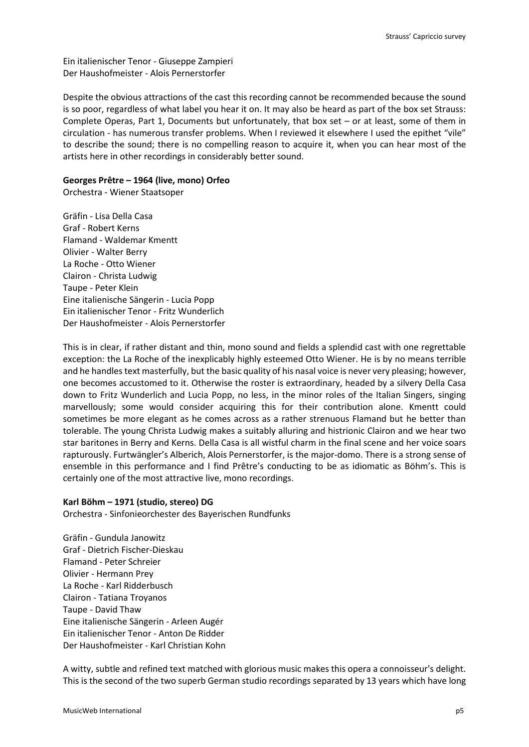Ein italienischer Tenor - Giuseppe Zampieri Der Haushofmeister - Alois Pernerstorfer

Despite the obvious attractions of the cast this recording cannot be recommended because the sound is so poor, regardless of what label you hear it on. It may also be heard as part of the box set Strauss: Complete Operas, Part 1, Documents but unfortunately, that box set – or at least, some of them in circulation - has numerous transfer problems. When I reviewed it elsewhere I used the epithet "vile" to describe the sound; there is no compelling reason to acquire it, when you can hear most of the artists here in other recordings in considerably better sound.

#### **Georges Prêtre – 1964 (live, mono) Orfeo**

Orchestra - Wiener Staatsoper

Gräfin - Lisa Della Casa Graf - Robert Kerns Flamand - Waldemar Kmentt Olivier - Walter Berry La Roche - Otto Wiener Clairon - Christa Ludwig Taupe - Peter Klein Eine italienische Sängerin - Lucia Popp Ein italienischer Tenor - Fritz Wunderlich Der Haushofmeister - Alois Pernerstorfer

This is in clear, if rather distant and thin, mono sound and fields a splendid cast with one regrettable exception: the La Roche of the inexplicably highly esteemed Otto Wiener. He is by no means terrible and he handles text masterfully, but the basic quality of his nasal voice is never very pleasing; however, one becomes accustomed to it. Otherwise the roster is extraordinary, headed by a silvery Della Casa down to Fritz Wunderlich and Lucia Popp, no less, in the minor roles of the Italian Singers, singing marvellously; some would consider acquiring this for their contribution alone. Kmentt could sometimes be more elegant as he comes across as a rather strenuous Flamand but he better than tolerable. The young Christa Ludwig makes a suitably alluring and histrionic Clairon and we hear two star baritones in Berry and Kerns. Della Casa is all wistful charm in the final scene and her voice soars rapturously. Furtwängler's Alberich, Alois Pernerstorfer, is the major-domo. There is a strong sense of ensemble in this performance and I find Prêtre's conducting to be as idiomatic as Böhm's. This is certainly one of the most attractive live, mono recordings.

#### **Karl Böhm – 1971 (studio, stereo) DG**

Orchestra - Sinfonieorchester des Bayerischen Rundfunks

Gräfin - Gundula Janowitz Graf - Dietrich Fischer-Dieskau Flamand - Peter Schreier Olivier - Hermann Prey La Roche - Karl Ridderbusch Clairon - Tatiana Troyanos Taupe - David Thaw Eine italienische Sängerin - Arleen Augér Ein italienischer Tenor - Anton De Ridder Der Haushofmeister - Karl Christian Kohn

A witty, subtle and refined text matched with glorious music makes this opera a connoisseur's delight. This is the second of the two superb German studio recordings separated by 13 years which have long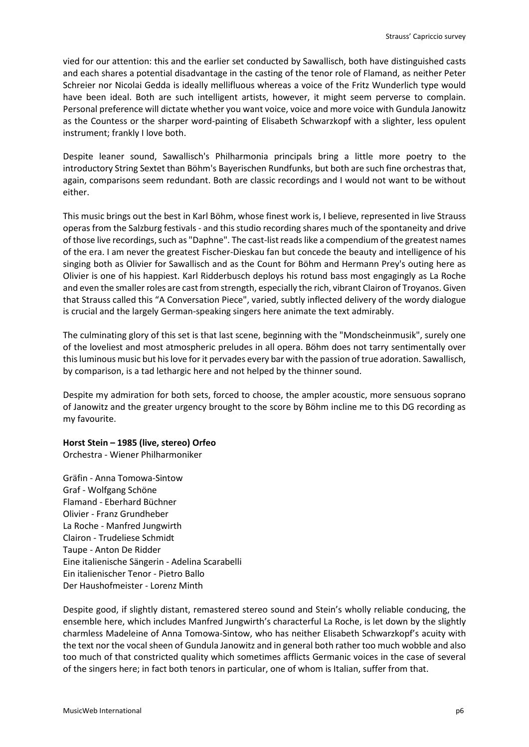vied for our attention: this and the earlier set conducted by Sawallisch, both have distinguished casts and each shares a potential disadvantage in the casting of the tenor role of Flamand, as neither Peter Schreier nor Nicolai Gedda is ideally mellifluous whereas a voice of the Fritz Wunderlich type would have been ideal. Both are such intelligent artists, however, it might seem perverse to complain. Personal preference will dictate whether you want voice, voice and more voice with Gundula Janowitz as the Countess or the sharper word-painting of Elisabeth Schwarzkopf with a slighter, less opulent instrument; frankly I love both.

Despite leaner sound, Sawallisch's Philharmonia principals bring a little more poetry to the introductory String Sextet than Böhm's Bayerischen Rundfunks, but both are such fine orchestras that, again, comparisons seem redundant. Both are classic recordings and I would not want to be without either.

This music brings out the best in Karl Böhm, whose finest work is, I believe, represented in live Strauss operas from the Salzburg festivals - and this studio recording shares much of the spontaneity and drive of those live recordings, such as "Daphne". The cast-list reads like a compendium of the greatest names of the era. I am never the greatest Fischer-Dieskau fan but concede the beauty and intelligence of his singing both as Olivier for Sawallisch and as the Count for Böhm and Hermann Prey's outing here as Olivier is one of his happiest. Karl Ridderbusch deploys his rotund bass most engagingly as La Roche and even the smaller roles are cast from strength, especially the rich, vibrant Clairon of Troyanos. Given that Strauss called this "A Conversation Piece", varied, subtly inflected delivery of the wordy dialogue is crucial and the largely German-speaking singers here animate the text admirably.

The culminating glory of this set is that last scene, beginning with the "Mondscheinmusik", surely one of the loveliest and most atmospheric preludes in all opera. Böhm does not tarry sentimentally over this luminous music but his love for it pervades every bar with the passion of true adoration. Sawallisch, by comparison, is a tad lethargic here and not helped by the thinner sound.

Despite my admiration for both sets, forced to choose, the ampler acoustic, more sensuous soprano of Janowitz and the greater urgency brought to the score by Böhm incline me to this DG recording as my favourite.

#### **Horst Stein – 1985 (live, stereo) Orfeo**

Orchestra - Wiener Philharmoniker

Gräfin - Anna Tomowa-Sintow Graf - Wolfgang Schöne Flamand - Eberhard Büchner Olivier - Franz Grundheber La Roche - Manfred Jungwirth Clairon - Trudeliese Schmidt Taupe - Anton De Ridder Eine italienische Sängerin - Adelina Scarabelli Ein italienischer Tenor - Pietro Ballo Der Haushofmeister - Lorenz Minth

Despite good, if slightly distant, remastered stereo sound and Stein's wholly reliable conducing, the ensemble here, which includes Manfred Jungwirth's characterful La Roche, is let down by the slightly charmless Madeleine of Anna Tomowa-Sintow, who has neither Elisabeth Schwarzkopf's acuity with the text nor the vocal sheen of Gundula Janowitz and in general both rather too much wobble and also too much of that constricted quality which sometimes afflicts Germanic voices in the case of several of the singers here; in fact both tenors in particular, one of whom is Italian, suffer from that.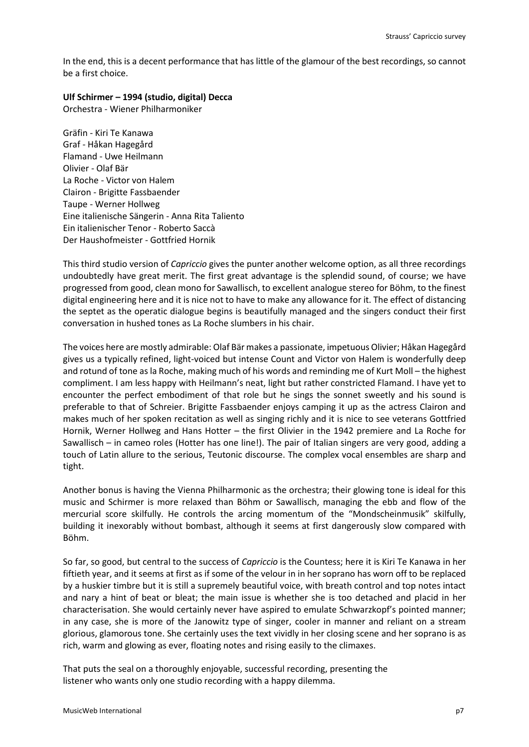In the end, this is a decent performance that has little of the glamour of the best recordings, so cannot be a first choice.

### **Ulf Schirmer – 1994 (studio, digital) Decca**

Orchestra - Wiener Philharmoniker

Gräfin - Kiri Te Kanawa Graf - Håkan Hagegård Flamand - Uwe Heilmann Olivier - Olaf Bär La Roche - Victor von Halem Clairon - Brigitte Fassbaender Taupe - Werner Hollweg Eine italienische Sängerin - Anna Rita Taliento Ein italienischer Tenor - Roberto Saccà Der Haushofmeister - Gottfried Hornik

This third studio version of *Capriccio* gives the punter another welcome option, as all three recordings undoubtedly have great merit. The first great advantage is the splendid sound, of course; we have progressed from good, clean mono for Sawallisch, to excellent analogue stereo for Böhm, to the finest digital engineering here and it is nice not to have to make any allowance for it. The effect of distancing the septet as the operatic dialogue begins is beautifully managed and the singers conduct their first conversation in hushed tones as La Roche slumbers in his chair.

The voices here are mostly admirable: Olaf Bär makes a passionate, impetuous Olivier; Håkan Hagegård gives us a typically refined, light-voiced but intense Count and Victor von Halem is wonderfully deep and rotund of tone as la Roche, making much of his words and reminding me of Kurt Moll – the highest compliment. I am less happy with Heilmann's neat, light but rather constricted Flamand. I have yet to encounter the perfect embodiment of that role but he sings the sonnet sweetly and his sound is preferable to that of Schreier. Brigitte Fassbaender enjoys camping it up as the actress Clairon and makes much of her spoken recitation as well as singing richly and it is nice to see veterans Gottfried Hornik, Werner Hollweg and Hans Hotter – the first Olivier in the 1942 premiere and La Roche for Sawallisch – in cameo roles (Hotter has one line!). The pair of Italian singers are very good, adding a touch of Latin allure to the serious, Teutonic discourse. The complex vocal ensembles are sharp and tight.

Another bonus is having the Vienna Philharmonic as the orchestra; their glowing tone is ideal for this music and Schirmer is more relaxed than Böhm or Sawallisch, managing the ebb and flow of the mercurial score skilfully. He controls the arcing momentum of the "Mondscheinmusik" skilfully, building it inexorably without bombast, although it seems at first dangerously slow compared with Böhm.

So far, so good, but central to the success of *Capriccio* is the Countess; here it is Kiri Te Kanawa in her fiftieth year, and it seems at first as if some of the velour in in her soprano has worn off to be replaced by a huskier timbre but it is still a supremely beautiful voice, with breath control and top notes intact and nary a hint of beat or bleat; the main issue is whether she is too detached and placid in her characterisation. She would certainly never have aspired to emulate Schwarzkopf's pointed manner; in any case, she is more of the Janowitz type of singer, cooler in manner and reliant on a stream glorious, glamorous tone. She certainly uses the text vividly in her closing scene and her soprano is as rich, warm and glowing as ever, floating notes and rising easily to the climaxes.

That puts the seal on a thoroughly enjoyable, successful recording, presenting the listener who wants only one studio recording with a happy dilemma.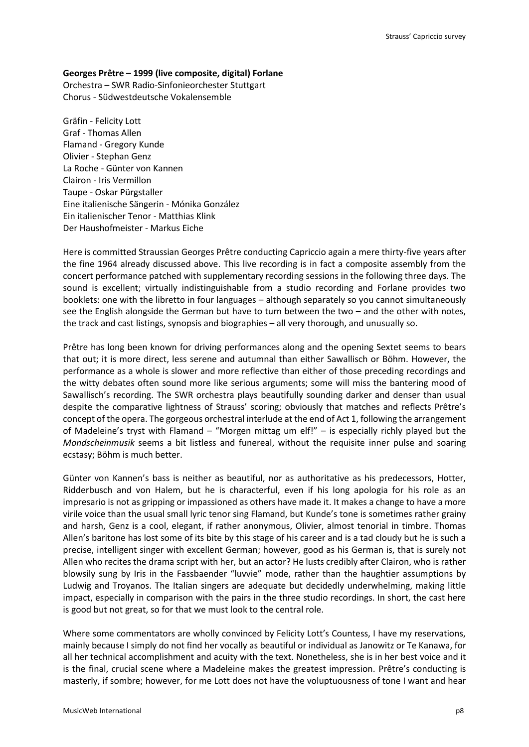### **Georges Prêtre – 1999 (live composite, digital) Forlane**

Orchestra – SWR Radio-Sinfonieorchester Stuttgart Chorus - Südwestdeutsche Vokalensemble

Gräfin - Felicity Lott Graf - Thomas Allen Flamand - Gregory Kunde Olivier - Stephan Genz La Roche - Günter von Kannen Clairon - Iris Vermillon Taupe - Oskar Pürgstaller Eine italienische Sängerin - Mónika González Ein italienischer Tenor - Matthias Klink Der Haushofmeister - Markus Eiche

Here is committed Straussian Georges Prêtre conducting Capriccio again a mere thirty-five years after the fine 1964 already discussed above. This live recording is in fact a composite assembly from the concert performance patched with supplementary recording sessions in the following three days. The sound is excellent; virtually indistinguishable from a studio recording and Forlane provides two booklets: one with the libretto in four languages – although separately so you cannot simultaneously see the English alongside the German but have to turn between the two – and the other with notes, the track and cast listings, synopsis and biographies – all very thorough, and unusually so.

Prêtre has long been known for driving performances along and the opening Sextet seems to bears that out; it is more direct, less serene and autumnal than either Sawallisch or Böhm. However, the performance as a whole is slower and more reflective than either of those preceding recordings and the witty debates often sound more like serious arguments; some will miss the bantering mood of Sawallisch's recording. The SWR orchestra plays beautifully sounding darker and denser than usual despite the comparative lightness of Strauss' scoring; obviously that matches and reflects Prêtre's concept of the opera. The gorgeous orchestral interlude at the end of Act 1, following the arrangement of Madeleine's tryst with Flamand – "Morgen mittag um elf!" – is especially richly played but the *Mondscheinmusik* seems a bit listless and funereal, without the requisite inner pulse and soaring ecstasy; Böhm is much better.

Günter von Kannen's bass is neither as beautiful, nor as authoritative as his predecessors, Hotter, Ridderbusch and von Halem, but he is characterful, even if his long apologia for his role as an impresario is not as gripping or impassioned as others have made it. It makes a change to have a more virile voice than the usual small lyric tenor sing Flamand, but Kunde's tone is sometimes rather grainy and harsh, Genz is a cool, elegant, if rather anonymous, Olivier, almost tenorial in timbre. Thomas Allen's baritone has lost some of its bite by this stage of his career and is a tad cloudy but he is such a precise, intelligent singer with excellent German; however, good as his German is, that is surely not Allen who recites the drama script with her, but an actor? He lusts credibly after Clairon, who is rather blowsily sung by Iris in the Fassbaender "luvvie" mode, rather than the haughtier assumptions by Ludwig and Troyanos. The Italian singers are adequate but decidedly underwhelming, making little impact, especially in comparison with the pairs in the three studio recordings. In short, the cast here is good but not great, so for that we must look to the central role.

Where some commentators are wholly convinced by Felicity Lott's Countess, I have my reservations, mainly because I simply do not find her vocally as beautiful or individual as Janowitz or Te Kanawa, for all her technical accomplishment and acuity with the text. Nonetheless, she is in her best voice and it is the final, crucial scene where a Madeleine makes the greatest impression. Prêtre's conducting is masterly, if sombre; however, for me Lott does not have the voluptuousness of tone I want and hear